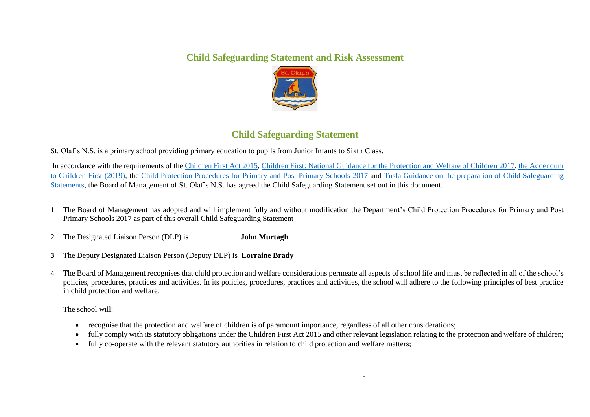## **Child Safeguarding Statement and Risk Assessment**



## **Child Safeguarding Statement**

St. Olaf's N.S. is a primary school providing primary education to pupils from Junior Infants to Sixth Class.

In accordance with the requirements of th[e Children First Act 2015,](http://www.irishstatutebook.ie/eli/2015/act/36/enacted/en/pdf) [Children First: National Guidance for the Protection and Welfare of Children 2017,](https://assets.gov.ie/25844/b90aafa55804462f84d05f87f0ca2bf6.pdf) [the Addendum](https://assets.gov.ie/25819/c9744b64dfd6447985eeffa5c0d71bbb.pdf)  [to Children First \(2019\),](https://assets.gov.ie/25819/c9744b64dfd6447985eeffa5c0d71bbb.pdf) the [Child Protection Procedures for Primary and Post Primary Schools 2017](https://www.gov.ie/pdf/?file=https://assets.gov.ie/45063/2d4b5b3d781e4ec1ab4f3e5d198717d9.pdf#page=1) and [Tusla Guidance on the preparation of Child Safeguarding](https://www.tusla.ie/uploads/content/4214-TUSLA_Guidance_on_Developing_a_CSS_LR.PDF)  [Statements,](https://www.tusla.ie/uploads/content/4214-TUSLA_Guidance_on_Developing_a_CSS_LR.PDF) the Board of Management of St. Olaf's N.S. has agreed the Child Safeguarding Statement set out in this document.

1 The Board of Management has adopted and will implement fully and without modification the Department's Child Protection Procedures for Primary and Post Primary Schools 2017 as part of this overall Child Safeguarding Statement

2 The Designated Liaison Person (DLP) is **John Murtagh**

- **3** The Deputy Designated Liaison Person (Deputy DLP) is **Lorraine Brady**
- 4 The Board of Management recognises that child protection and welfare considerations permeate all aspects of school life and must be reflected in all of the school's policies, procedures, practices and activities. In its policies, procedures, practices and activities, the school will adhere to the following principles of best practice in child protection and welfare:

The school will:

- recognise that the protection and welfare of children is of paramount importance, regardless of all other considerations;
- fully comply with its statutory obligations under the Children First Act 2015 and other relevant legislation relating to the protection and welfare of children;
- fully co-operate with the relevant statutory authorities in relation to child protection and welfare matters;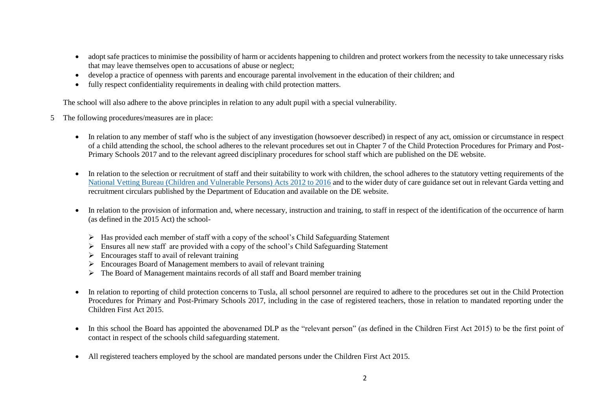- adopt safe practices to minimise the possibility of harm or accidents happening to children and protect workers from the necessity to take unnecessary risks that may leave themselves open to accusations of abuse or neglect;
- develop a practice of openness with parents and encourage parental involvement in the education of their children; and
- fully respect confidentiality requirements in dealing with child protection matters.

The school will also adhere to the above principles in relation to any adult pupil with a special vulnerability.

- 5 The following procedures/measures are in place:
	- In relation to any member of staff who is the subject of any investigation (howsoever described) in respect of any act, omission or circumstance in respect of a child attending the school, the school adheres to the relevant procedures set out in Chapter 7 of the Child Protection Procedures for Primary and Post-Primary Schools 2017 and to the relevant agreed disciplinary procedures for school staff which are published on the DE website.
	- In relation to the selection or recruitment of staff and their suitability to work with children, the school adheres to the statutory vetting requirements of the [National Vetting Bureau \(Children and Vulnerable Persons\) Acts 2012 to 2016](https://revisedacts.lawreform.ie/eli/2012/act/47/revised/en/pdf) and to the wider duty of care guidance set out in relevant Garda vetting and recruitment circulars published by the Department of Education and available on the DE website.
	- In relation to the provision of information and, where necessary, instruction and training, to staff in respect of the identification of the occurrence of harm (as defined in the 2015 Act) the school-
		- $\triangleright$  Has provided each member of staff with a copy of the school's Child Safeguarding Statement
		- $\triangleright$  Ensures all new staff are provided with a copy of the school's Child Safeguarding Statement
		- $\triangleright$  Encourages staff to avail of relevant training
		- $\triangleright$  Encourages Board of Management members to avail of relevant training
		- $\triangleright$  The Board of Management maintains records of all staff and Board member training
	- In relation to reporting of child protection concerns to Tusla, all school personnel are required to adhere to the procedures set out in the Child Protection Procedures for Primary and Post-Primary Schools 2017, including in the case of registered teachers, those in relation to mandated reporting under the Children First Act 2015.
	- In this school the Board has appointed the abovenamed DLP as the "relevant person" (as defined in the Children First Act 2015) to be the first point of contact in respect of the schools child safeguarding statement.
	- All registered teachers employed by the school are mandated persons under the Children First Act 2015.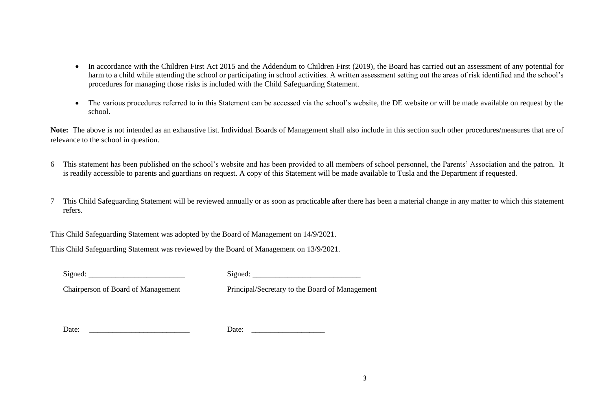- In accordance with the Children First Act 2015 and the Addendum to Children First (2019), the Board has carried out an assessment of any potential for harm to a child while attending the school or participating in school activities. A written assessment setting out the areas of risk identified and the school's procedures for managing those risks is included with the Child Safeguarding Statement.
- The various procedures referred to in this Statement can be accessed via the school's website, the DE website or will be made available on request by the school.

Note: The above is not intended as an exhaustive list. Individual Boards of Management shall also include in this section such other procedures/measures that are of relevance to the school in question.

- 6 This statement has been published on the school's website and has been provided to all members of school personnel, the Parents' Association and the patron. It is readily accessible to parents and guardians on request. A copy of this Statement will be made available to Tusla and the Department if requested.
- 7 This Child Safeguarding Statement will be reviewed annually or as soon as practicable after there has been a material change in any matter to which this statement refers.

This Child Safeguarding Statement was adopted by the Board of Management on 14/9/2021.

This Child Safeguarding Statement was reviewed by the Board of Management on 13/9/2021.

 $Signal:$   $Signal:$ 

Chairperson of Board of Management Principal/Secretary to the Board of Management

Date: \_\_\_\_\_\_\_\_\_\_\_\_\_\_\_\_\_\_\_\_\_\_\_\_\_\_ Date: \_\_\_\_\_\_\_\_\_\_\_\_\_\_\_\_\_\_\_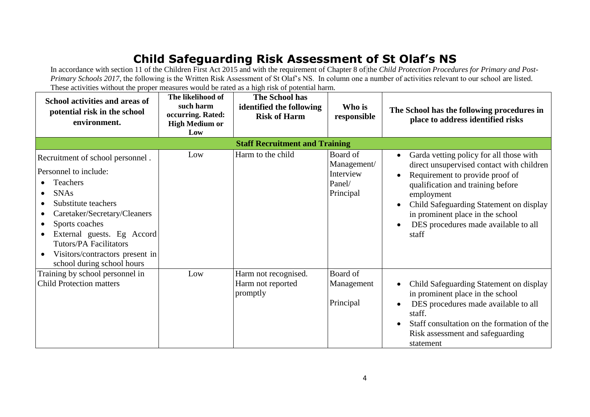## **Child Safeguarding Risk Assessment of St Olaf's NS**

In accordance with section 11 of the Children First Act 2015 and with the requirement of Chapter 8 of the *Child Protection Procedures for Primary and Post-Primary Schools 2017*, the following is the Written Risk Assessment of St Olaf's NS. In column one a number of activities relevant to our school are listed. These activities without the proper measures would be rated as a high risk of potential harm.

| School activities and areas of<br>potential risk in the school<br>environment. | The likelihood of<br>such harm<br>occurring. Rated:<br><b>High Medium or</b><br>Low | <b>The School has</b><br>identified the following<br><b>Risk of Harm</b> | Who is<br>responsible   | The School has the following procedures in<br>place to address identified risks                   |
|--------------------------------------------------------------------------------|-------------------------------------------------------------------------------------|--------------------------------------------------------------------------|-------------------------|---------------------------------------------------------------------------------------------------|
| <b>Staff Recruitment and Training</b>                                          |                                                                                     |                                                                          |                         |                                                                                                   |
| Recruitment of school personnel.                                               | Low                                                                                 | Harm to the child                                                        | Board of<br>Management/ | Garda vetting policy for all those with<br>$\bullet$<br>direct unsupervised contact with children |
| Personnel to include:                                                          |                                                                                     |                                                                          | Interview               | Requirement to provide proof of<br>$\bullet$                                                      |
| <b>Teachers</b>                                                                |                                                                                     |                                                                          | Panel/                  | qualification and training before                                                                 |
| <b>SNAs</b>                                                                    |                                                                                     |                                                                          | Principal               | employment                                                                                        |
| Substitute teachers                                                            |                                                                                     |                                                                          |                         | Child Safeguarding Statement on display<br>$\bullet$                                              |
| Caretaker/Secretary/Cleaners<br>٠                                              |                                                                                     |                                                                          |                         | in prominent place in the school                                                                  |
| Sports coaches<br>$\bullet$                                                    |                                                                                     |                                                                          |                         | DES procedures made available to all<br>$\bullet$                                                 |
| External guests. Eg Accord<br>$\bullet$                                        |                                                                                     |                                                                          |                         | staff                                                                                             |
| <b>Tutors/PA Facilitators</b>                                                  |                                                                                     |                                                                          |                         |                                                                                                   |
| Visitors/contractors present in                                                |                                                                                     |                                                                          |                         |                                                                                                   |
| school during school hours                                                     |                                                                                     |                                                                          |                         |                                                                                                   |
| Training by school personnel in                                                | Low                                                                                 | Harm not recognised.                                                     | Board of                |                                                                                                   |
| <b>Child Protection matters</b>                                                |                                                                                     | Harm not reported<br>promptly                                            | Management              | Child Safeguarding Statement on display<br>in prominent place in the school                       |
|                                                                                |                                                                                     |                                                                          | Principal               | DES procedures made available to all<br>$\bullet$                                                 |
|                                                                                |                                                                                     |                                                                          |                         | staff.                                                                                            |
|                                                                                |                                                                                     |                                                                          |                         | Staff consultation on the formation of the<br>$\bullet$                                           |
|                                                                                |                                                                                     |                                                                          |                         | Risk assessment and safeguarding                                                                  |
|                                                                                |                                                                                     |                                                                          |                         | statement                                                                                         |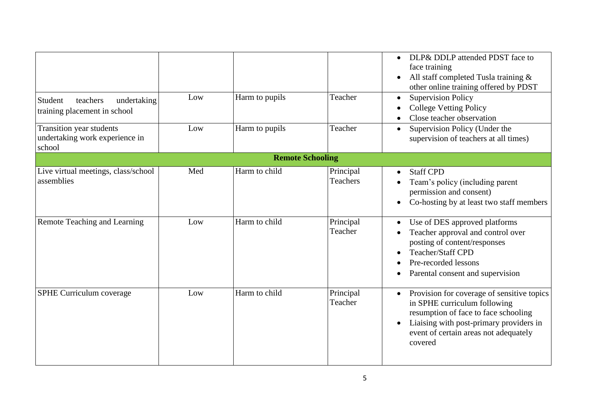| Student<br>teachers<br>undertaking                                   | Low | Harm to pupils          | Teacher                      | DLP& DDLP attended PDST face to<br>face training<br>All staff completed Tusla training &<br>$\bullet$<br>other online training offered by PDST<br><b>Supervision Policy</b><br>$\bullet$                          |
|----------------------------------------------------------------------|-----|-------------------------|------------------------------|-------------------------------------------------------------------------------------------------------------------------------------------------------------------------------------------------------------------|
| training placement in school                                         |     |                         |                              | <b>College Vetting Policy</b><br>Close teacher observation                                                                                                                                                        |
| Transition year students<br>undertaking work experience in<br>school | Low | Harm to pupils          | Teacher                      | Supervision Policy (Under the<br>$\bullet$<br>supervision of teachers at all times)                                                                                                                               |
|                                                                      |     | <b>Remote Schooling</b> |                              |                                                                                                                                                                                                                   |
| Live virtual meetings, class/school<br>assemblies                    | Med | Harm to child           | Principal<br><b>Teachers</b> | <b>Staff CPD</b><br>$\bullet$<br>Team's policy (including parent<br>permission and consent)<br>Co-hosting by at least two staff members<br>$\bullet$                                                              |
| Remote Teaching and Learning                                         | Low | Harm to child           | Principal<br>Teacher         | Use of DES approved platforms<br>Teacher approval and control over<br>posting of content/responses<br>Teacher/Staff CPD<br>Pre-recorded lessons<br>Parental consent and supervision                               |
| SPHE Curriculum coverage                                             | Low | Harm to child           | Principal<br>Teacher         | Provision for coverage of sensitive topics<br>in SPHE curriculum following<br>resumption of face to face schooling<br>Liaising with post-primary providers in<br>event of certain areas not adequately<br>covered |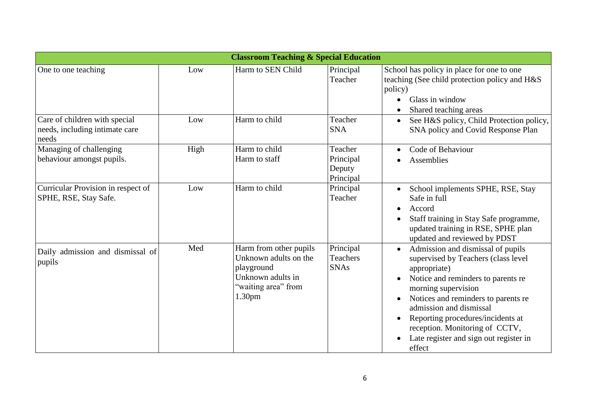| <b>Classroom Teaching &amp; Special Education</b>                        |      |                                                                                                                                 |                                             |                                                                                                                                                                                                                                                                                                                                                                 |
|--------------------------------------------------------------------------|------|---------------------------------------------------------------------------------------------------------------------------------|---------------------------------------------|-----------------------------------------------------------------------------------------------------------------------------------------------------------------------------------------------------------------------------------------------------------------------------------------------------------------------------------------------------------------|
| One to one teaching                                                      | Low  | Harm to SEN Child                                                                                                               | Principal<br>Teacher                        | School has policy in place for one to one<br>teaching (See child protection policy and H&S<br>policy)<br>Glass in window<br>Shared teaching areas                                                                                                                                                                                                               |
| Care of children with special<br>needs, including intimate care<br>needs | Low  | Harm to child                                                                                                                   | Teacher<br><b>SNA</b>                       | See H&S policy, Child Protection policy,<br>$\bullet$<br>SNA policy and Covid Response Plan                                                                                                                                                                                                                                                                     |
| Managing of challenging<br>behaviour amongst pupils.                     | High | Harm to child<br>Harm to staff                                                                                                  | Teacher<br>Principal<br>Deputy<br>Principal | Code of Behaviour<br>$\bullet$<br><b>Assemblies</b>                                                                                                                                                                                                                                                                                                             |
| Curricular Provision in respect of<br>SPHE, RSE, Stay Safe.              | Low  | Harm to child                                                                                                                   | Principal<br>Teacher                        | School implements SPHE, RSE, Stay<br>Safe in full<br>Accord<br>$\bullet$<br>Staff training in Stay Safe programme,<br>updated training in RSE, SPHE plan<br>updated and reviewed by PDST                                                                                                                                                                        |
| Daily admission and dismissal of<br>pupils                               | Med  | Harm from other pupils<br>Unknown adults on the<br>playground<br>Unknown adults in<br>"waiting area" from<br>1.30 <sub>pm</sub> | Principal<br><b>Teachers</b><br><b>SNAs</b> | Admission and dismissal of pupils<br>supervised by Teachers (class level<br>appropriate)<br>Notice and reminders to parents re<br>morning supervision<br>Notices and reminders to parents re<br>$\bullet$<br>admission and dismissal<br>Reporting procedures/incidents at<br>reception. Monitoring of CCTV,<br>Late register and sign out register in<br>effect |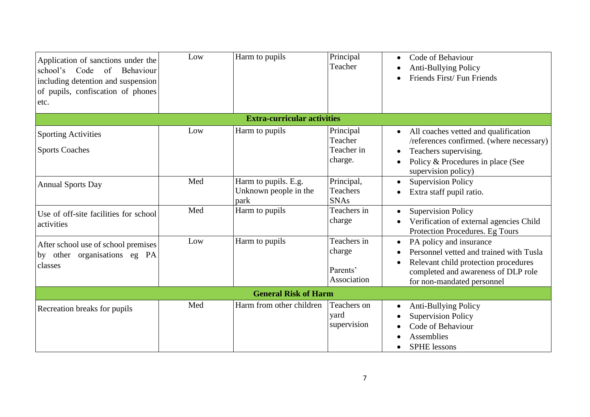| Application of sanctions under the<br>school's Code of<br>Behaviour<br>including detention and suspension<br>of pupils, confiscation of phones<br>etc. | Low | Harm to pupils                                        | Principal<br>Teacher                             | Code of Behaviour<br>$\bullet$<br><b>Anti-Bullying Policy</b><br>Friends First/Fun Friends                                                                                                      |
|--------------------------------------------------------------------------------------------------------------------------------------------------------|-----|-------------------------------------------------------|--------------------------------------------------|-------------------------------------------------------------------------------------------------------------------------------------------------------------------------------------------------|
|                                                                                                                                                        |     | <b>Extra-curricular activities</b>                    |                                                  |                                                                                                                                                                                                 |
| <b>Sporting Activities</b><br><b>Sports Coaches</b>                                                                                                    | Low | Harm to pupils                                        | Principal<br>Teacher<br>Teacher in<br>charge.    | All coaches vetted and qualification<br>/references confirmed. (where necessary)<br>Teachers supervising.<br>$\bullet$<br>Policy & Procedures in place (See<br>$\bullet$<br>supervision policy) |
| <b>Annual Sports Day</b>                                                                                                                               | Med | Harm to pupils. E.g.<br>Unknown people in the<br>park | Principal,<br><b>Teachers</b><br><b>SNAs</b>     | <b>Supervision Policy</b><br>$\bullet$<br>Extra staff pupil ratio.                                                                                                                              |
| Use of off-site facilities for school<br>activities                                                                                                    | Med | Harm to pupils                                        | Teachers in<br>charge                            | <b>Supervision Policy</b><br>Verification of external agencies Child<br>Protection Procedures. Eg Tours                                                                                         |
| After school use of school premises<br>by other organisations eg PA<br>classes                                                                         | Low | Harm to pupils                                        | Teachers in<br>charge<br>Parents'<br>Association | PA policy and insurance<br>$\bullet$<br>Personnel vetted and trained with Tusla<br>Relevant child protection procedures<br>completed and awareness of DLP role<br>for non-mandated personnel    |
|                                                                                                                                                        |     | <b>General Risk of Harm</b>                           |                                                  |                                                                                                                                                                                                 |
| Recreation breaks for pupils                                                                                                                           | Med | Harm from other children                              | Teachers on<br>yard<br>supervision               | <b>Anti-Bullying Policy</b><br><b>Supervision Policy</b><br>Code of Behaviour<br>Assemblies<br><b>SPHE</b> lessons                                                                              |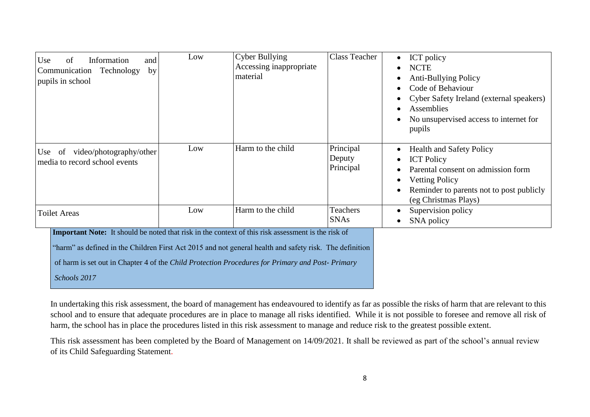| Use<br>of<br>Information<br>and<br>Technology<br>Communication<br>by<br>pupils in school                                                                                                                                                                                                                                                | Low | <b>Cyber Bullying</b><br>Accessing inappropriate<br>material | <b>Class Teacher</b>             | ICT policy<br><b>NCTE</b><br><b>Anti-Bullying Policy</b><br>Code of Behaviour<br>Cyber Safety Ireland (external speakers)<br>Assemblies<br>No unsupervised access to internet for<br>pupils |
|-----------------------------------------------------------------------------------------------------------------------------------------------------------------------------------------------------------------------------------------------------------------------------------------------------------------------------------------|-----|--------------------------------------------------------------|----------------------------------|---------------------------------------------------------------------------------------------------------------------------------------------------------------------------------------------|
| Use of video/photography/other<br>media to record school events                                                                                                                                                                                                                                                                         | Low | Harm to the child                                            | Principal<br>Deputy<br>Principal | <b>Health and Safety Policy</b><br><b>ICT Policy</b><br>Parental consent on admission form<br><b>Vetting Policy</b><br>Reminder to parents not to post publicly<br>(eg Christmas Plays)     |
| <b>Toilet Areas</b>                                                                                                                                                                                                                                                                                                                     | Low | Harm to the child                                            | <b>Teachers</b><br><b>SNAs</b>   | Supervision policy<br>SNA policy                                                                                                                                                            |
| <b>Important Note:</b> It should be noted that risk in the context of this risk assessment is the risk of<br>"harm" as defined in the Children First Act 2015 and not general health and safety risk. The definition<br>of harm is set out in Chapter 4 of the Child Protection Procedures for Primary and Post-Primary<br>Schools 2017 |     |                                                              |                                  |                                                                                                                                                                                             |

In undertaking this risk assessment, the board of management has endeavoured to identify as far as possible the risks of harm that are relevant to this school and to ensure that adequate procedures are in place to manage all risks identified. While it is not possible to foresee and remove all risk of harm, the school has in place the procedures listed in this risk assessment to manage and reduce risk to the greatest possible extent.

This risk assessment has been completed by the Board of Management on 14/09/2021. It shall be reviewed as part of the school's annual review of its Child Safeguarding Statement.